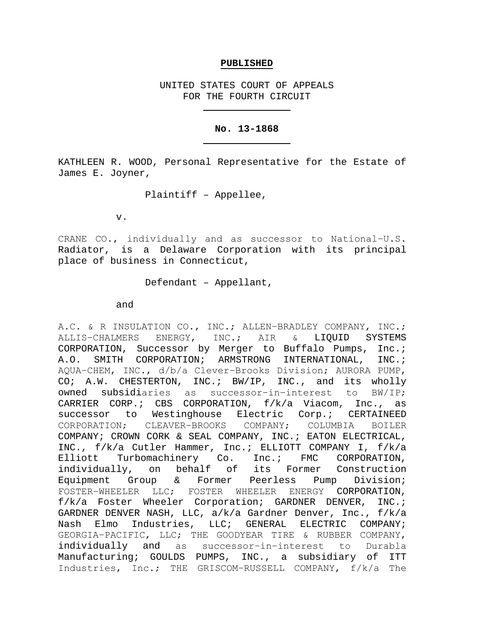# **PUBLISHED**

UNITED STATES COURT OF APPEALS FOR THE FOURTH CIRCUIT

## **No. 13-1868**

KATHLEEN R. WOOD, Personal Representative for the Estate of James E. Joyner,

Plaintiff – Appellee,

v.

CRANE CO., individually and as successor to National−U.S. Radiator, is a Delaware Corporation with its principal place of business in Connecticut,

Defendant – Appellant,

and

A.C. & R INSULATION CO., INC.; ALLEN-BRADLEY COMPANY, INC.;<br>ALLIS-CHALMERS ENERGY, INC.; AIR & LIQUID SYSTEMS ALLIS-CHALMERS ENERGY, INC.; AIR & CORPORATION, Successor by Merger to Buffalo Pumps, Inc.; A.O. SMITH CORPORATION; ARMSTRONG INTERNATIONAL, INC.; AQUA−CHEM, INC., d/b/a Clever−Brooks Division; AURORA PUMP, CO; A.W. CHESTERTON, INC.; BW/IP, INC., and its wholly<br>owned subsidiaries as successor-in-interest to BW/IP; owned subsidiaries as successor−in−interest to BW/IP; CARRIER CORP.; CBS CORPORATION, f/k/a Viacom, Inc., as successor to Westinghouse Electric Corp.; CERTAINEED<br>CORPORATION: CLEAVER-BROOKS COMPANY: COLUMBIA BOILER CLEAVER−BROOKS COMPANY; COLUMBIA BOILER COMPANY; CROWN CORK & SEAL COMPANY, INC.; EATON ELECTRICAL, INC., f/k/a Cutler Hammer, Inc.; ELLIOTT COMPANY I, f/k/a<br>Elliott Turbomachinery Co. Inc.; FMC CORPORATION, Elliott Turbomachinery Co. Inc.; FMC CORPORATION, individually, on behalf of its Former Construction Equipment Group & Former Peerless Pump Division; FOSTER−WHEELER LLC; FOSTER WHEELER ENERGY CORPORATION, f/k/a Foster Wheeler Corporation; GARDNER DENVER, INC.; GARDNER DENVER NASH, LLC, a/k/a Gardner Denver, Inc., f/k/a Nash Elmo Industries, LLC; GENERAL ELECTRIC COMPANY; GEORGIA−PACIFIC, LLC; THE GOODYEAR TIRE & RUBBER COMPANY, individually and as successor−in−interest to Durabla Manufacturing; GOULDS PUMPS, INC., a subsidiary of ITT Industries, Inc.; THE GRISCOM−RUSSELL COMPANY, f/k/a The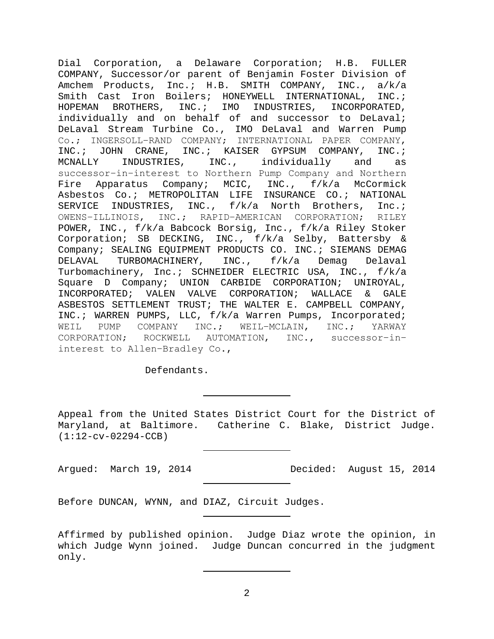Dial Corporation, a Delaware Corporation; H.B. FULLER COMPANY, Successor/or parent of Benjamin Foster Division of Amchem Products, Inc.; H.B. SMITH COMPANY, INC., a/k/a Smith Cast Iron Boilers; HONEYWELL INTERNATIONAL, INC.;<br>HOPEMAN BROTHERS, INC.; IMO INDUSTRIES, INCORPORATED, INDUSTRIES, INCORPORATED, individually and on behalf of and successor to DeLaval; DeLaval Stream Turbine Co., IMO DeLaval and Warren Pump Co.; INGERSOLL−RAND COMPANY; INTERNATIONAL PAPER COMPANY, INC.; JOHN CRANE, INC.; KAISER GYPSUM COMPANY, INC.;<br>MCNALLY INDUSTRIES, INC., individually and as INDUSTRIES, INC., individually and as successor−in−interest to Northern Pump Company and Northern Fire Apparatus Company; MCIC, INC., f/k/a McCormick Asbestos Co.; METROPOLITAN LIFE INSURANCE CO.; NATIONAL SERVICE INDUSTRIES, INC., f/k/a North Brothers, Inc.; OWENS−ILLINOIS, INC.; RAPID−AMERICAN CORPORATION; RILEY POWER, INC., f/k/a Babcock Borsig, Inc., f/k/a Riley Stoker Corporation; SB DECKING, INC., f/k/a Selby, Battersby & Company; SEALING EQUIPMENT PRODUCTS CO. INC.; SIEMANS DEMAG<br>DELAVAL TURBOMACHINERY, INC., f/k/a Demaq Delaval INC., f/k/a Turbomachinery, Inc.; SCHNEIDER ELECTRIC USA, INC., f/k/a Square D Company; UNION CARBIDE CORPORATION; UNIROYAL,<br>INCORPORATED; VALEN VALVE CORPORATION; WALLACE & GALE INCORPORATED; VALEN VALVE CORPORATION; WALLACE & GALE ASBESTOS SETTLEMENT TRUST; THE WALTER E. CAMPBELL COMPANY, INC.; WARREN PUMPS, LLC, f/k/a Warren Pumps, Incorporated; WEIL PUMP COMPANY INC.; WEIL-MCLAIN, INC.; YARWAY<br>CORPORATION; ROCKWELL AUTOMATION, INC., successor-in-ROCKWELL AUTOMATION, INC., successor-ininterest to Allen−Bradley Co.,

Defendants.

Appeal from the United States District Court for the District of Maryland, at Baltimore. Catherine C. Blake, District Judge. (1:12-cv-02294-CCB)

Argued: March 19, 2014 Decided: August 15, 2014

Before DUNCAN, WYNN, and DIAZ, Circuit Judges.

Affirmed by published opinion. Judge Diaz wrote the opinion, in which Judge Wynn joined. Judge Duncan concurred in the judgment only.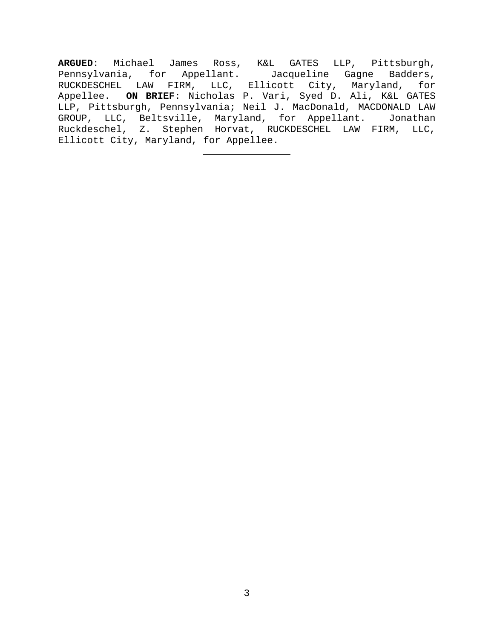**ARGUED**: Michael James Ross, K&L GATES LLP, Pittsburgh, Pennsylvania, for Appellant. Jacqueline Gagne Badders, RUCKDESCHEL LAW FIRM, LLC, Ellicott City, Maryland, for Appellee. **ON BRIEF**: Nicholas P. Vari, Syed D. Ali, K&L GATES LLP, Pittsburgh, Pennsylvania; Neil J. MacDonald, MACDONALD LAW GROUP, LLC, Beltsville, Maryland, for Appellant. Jonathan Ruckdeschel, Z. Stephen Horvat, RUCKDESCHEL LAW FIRM, LLC, Ellicott City, Maryland, for Appellee.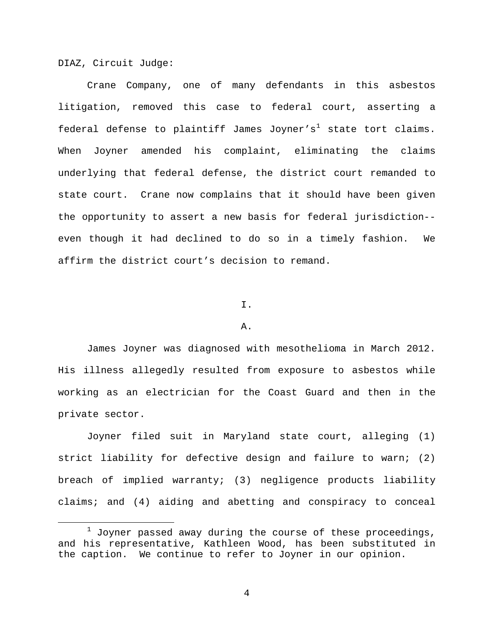DIAZ, Circuit Judge:

Crane Company, one of many defendants in this asbestos litigation, removed this case to federal court, asserting a federal defense to plaintiff James Joyner's<sup>[1](#page-3-0)</sup> state tort claims. When Joyner amended his complaint, eliminating the claims underlying that federal defense, the district court remanded to state court. Crane now complains that it should have been given the opportunity to assert a new basis for federal jurisdiction- even though it had declined to do so in a timely fashion. We affirm the district court's decision to remand.

# I.

#### A.

James Joyner was diagnosed with mesothelioma in March 2012. His illness allegedly resulted from exposure to asbestos while working as an electrician for the Coast Guard and then in the private sector.

Joyner filed suit in Maryland state court, alleging (1) strict liability for defective design and failure to warn; (2) breach of implied warranty; (3) negligence products liability claims; and (4) aiding and abetting and conspiracy to conceal

<span id="page-3-0"></span> $1$  Joyner passed away during the course of these proceedings, and his representative, Kathleen Wood, has been substituted in the caption. We continue to refer to Joyner in our opinion.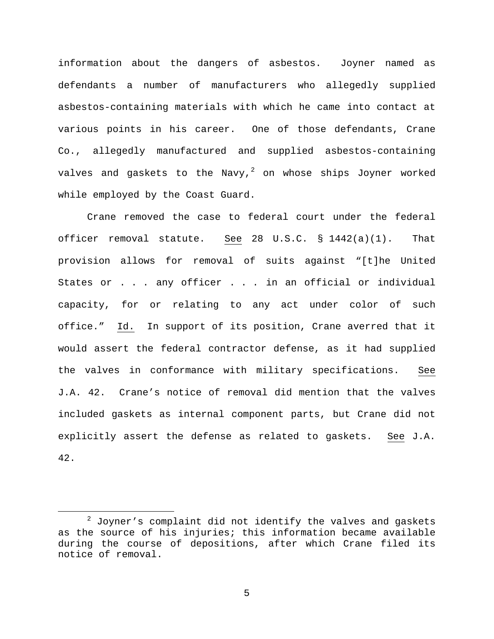information about the dangers of asbestos. Joyner named as defendants a number of manufacturers who allegedly supplied asbestos-containing materials with which he came into contact at various points in his career. One of those defendants, Crane Co., allegedly manufactured and supplied asbestos-containing valves and gaskets to the Navy, $^2$  $^2$  on whose ships Joyner worked while employed by the Coast Guard.

Crane removed the case to federal court under the federal officer removal statute. See 28 U.S.C. § 1442(a)(1). That provision allows for removal of suits against "[t]he United States or . . . any officer . . . in an official or individual capacity, for or relating to any act under color of such office." Id. In support of its position, Crane averred that it would assert the federal contractor defense, as it had supplied the valves in conformance with military specifications. See J.A. 42. Crane's notice of removal did mention that the valves included gaskets as internal component parts, but Crane did not explicitly assert the defense as related to gaskets. See J.A. 42.

<span id="page-4-0"></span> $2$  Joyner's complaint did not identify the valves and gaskets as the source of his injuries; this information became available during the course of depositions, after which Crane filed its notice of removal.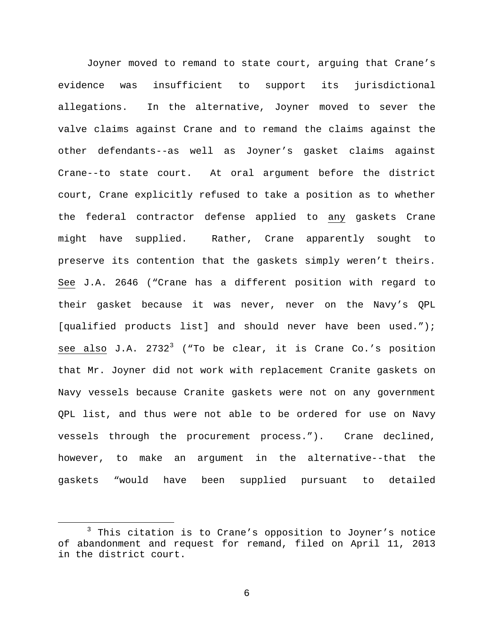Joyner moved to remand to state court, arguing that Crane's evidence was insufficient to support its jurisdictional allegations. In the alternative, Joyner moved to sever the valve claims against Crane and to remand the claims against the other defendants--as well as Joyner's gasket claims against Crane--to state court. At oral argument before the district court, Crane explicitly refused to take a position as to whether the federal contractor defense applied to any gaskets Crane might have supplied. Rather, Crane apparently sought to preserve its contention that the gaskets simply weren't theirs. See J.A. 2646 ("Crane has a different position with regard to their gasket because it was never, never on the Navy's QPL [qualified products list] and should never have been used."); see also J.A.  $2732<sup>3</sup>$  $2732<sup>3</sup>$  $2732<sup>3</sup>$  ("To be clear, it is Crane Co.'s position that Mr. Joyner did not work with replacement Cranite gaskets on Navy vessels because Cranite gaskets were not on any government QPL list, and thus were not able to be ordered for use on Navy vessels through the procurement process."). Crane declined, however, to make an argument in the alternative--that the gaskets "would have been supplied pursuant to detailed

<span id="page-5-0"></span> $3$  This citation is to Crane's opposition to Joyner's notice of abandonment and request for remand, filed on April 11, 2013 in the district court.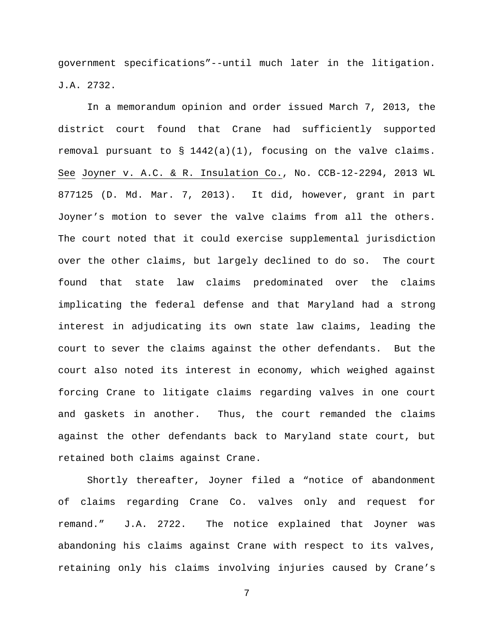government specifications"--until much later in the litigation. J.A. 2732.

In a memorandum opinion and order issued March 7, 2013, the district court found that Crane had sufficiently supported removal pursuant to § 1442(a)(1), focusing on the valve claims. See Joyner v. A.C. & R. Insulation Co., No. CCB-12-2294, 2013 WL 877125 (D. Md. Mar. 7, 2013). It did, however, grant in part Joyner's motion to sever the valve claims from all the others. The court noted that it could exercise supplemental jurisdiction over the other claims, but largely declined to do so. The court found that state law claims predominated over the claims implicating the federal defense and that Maryland had a strong interest in adjudicating its own state law claims, leading the court to sever the claims against the other defendants. But the court also noted its interest in economy, which weighed against forcing Crane to litigate claims regarding valves in one court and gaskets in another. Thus, the court remanded the claims against the other defendants back to Maryland state court, but retained both claims against Crane.

Shortly thereafter, Joyner filed a "notice of abandonment of claims regarding Crane Co. valves only and request for remand." J.A. 2722. The notice explained that Joyner was abandoning his claims against Crane with respect to its valves, retaining only his claims involving injuries caused by Crane's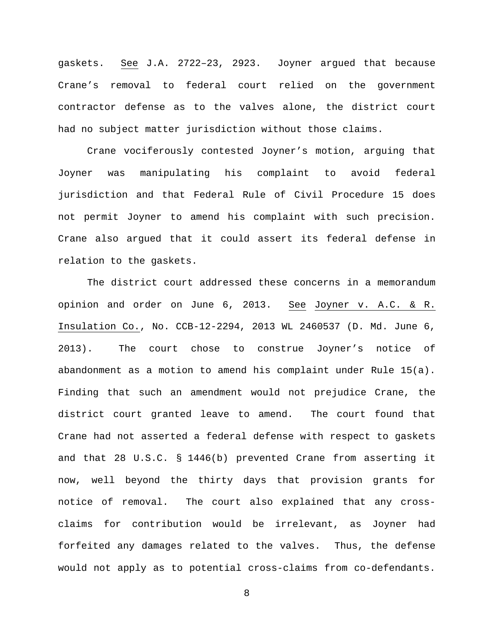gaskets. See J.A. 2722–23, 2923. Joyner argued that because Crane's removal to federal court relied on the government contractor defense as to the valves alone, the district court had no subject matter jurisdiction without those claims.

Crane vociferously contested Joyner's motion, arguing that Joyner was manipulating his complaint to avoid federal jurisdiction and that Federal Rule of Civil Procedure 15 does not permit Joyner to amend his complaint with such precision. Crane also argued that it could assert its federal defense in relation to the gaskets.

The district court addressed these concerns in a memorandum opinion and order on June 6, 2013. See Joyner v. A.C. & R. Insulation Co., No. CCB-12-2294, 2013 WL 2460537 (D. Md. June 6, 2013). The court chose to construe Joyner's notice of abandonment as a motion to amend his complaint under Rule 15(a). Finding that such an amendment would not prejudice Crane, the district court granted leave to amend. The court found that Crane had not asserted a federal defense with respect to gaskets and that 28 U.S.C. § 1446(b) prevented Crane from asserting it now, well beyond the thirty days that provision grants for notice of removal. The court also explained that any crossclaims for contribution would be irrelevant, as Joyner had forfeited any damages related to the valves. Thus, the defense would not apply as to potential cross-claims from co-defendants.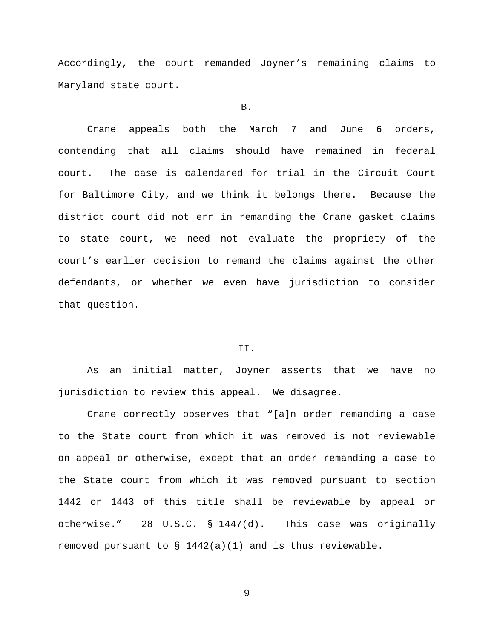Accordingly, the court remanded Joyner's remaining claims to Maryland state court.

# B.

Crane appeals both the March 7 and June 6 orders, contending that all claims should have remained in federal court. The case is calendared for trial in the Circuit Court for Baltimore City, and we think it belongs there. Because the district court did not err in remanding the Crane gasket claims to state court, we need not evaluate the propriety of the court's earlier decision to remand the claims against the other defendants, or whether we even have jurisdiction to consider that question.

## II.

As an initial matter, Joyner asserts that we have no jurisdiction to review this appeal. We disagree.

Crane correctly observes that "[a]n order remanding a case to the State court from which it was removed is not reviewable on appeal or otherwise, except that an order remanding a case to the State court from which it was removed pursuant to section 1442 or 1443 of this title shall be reviewable by appeal or otherwise." 28 U.S.C. § 1447(d). This case was originally removed pursuant to § 1442(a)(1) and is thus reviewable.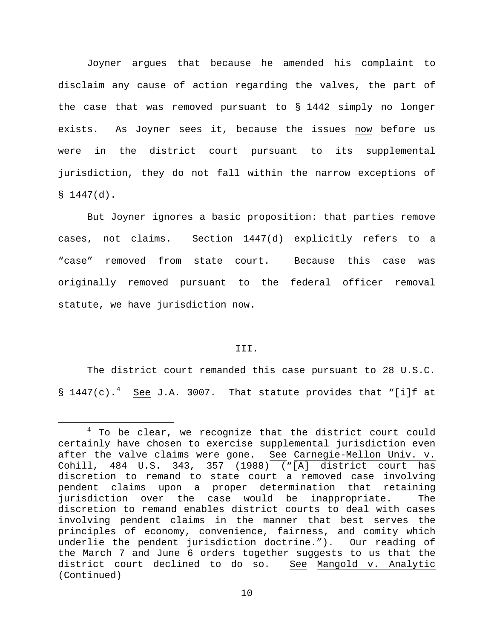Joyner argues that because he amended his complaint to disclaim any cause of action regarding the valves, the part of the case that was removed pursuant to § 1442 simply no longer exists. As Joyner sees it, because the issues now before us were in the district court pursuant to its supplemental jurisdiction, they do not fall within the narrow exceptions of  $$1447(d).$ 

But Joyner ignores a basic proposition: that parties remove cases, not claims. Section 1447(d) explicitly refers to a "case" removed from state court. Because this case was originally removed pursuant to the federal officer removal statute, we have jurisdiction now.

# III.

The district court remanded this case pursuant to 28 U.S.C.  $\S$  1[4](#page-9-0)47(c).<sup>4</sup> See J.A. 3007. That statute provides that "[i]f at

<span id="page-9-0"></span> $4$  To be clear, we recognize that the district court could certainly have chosen to exercise supplemental jurisdiction even after the valve claims were gone. See Carnegie-Mellon Univ. v. Cohill, 484 U.S. 343, 357 (1988) ("[A] district court has discretion to remand to state court a removed case involving pendent claims upon a proper determination that retaining jurisdiction over the case would be inappropriate. The discretion to remand enables district courts to deal with cases involving pendent claims in the manner that best serves the principles of economy, convenience, fairness, and comity which underlie the pendent jurisdiction doctrine."). Our reading of the March 7 and June 6 orders together suggests to us that the district court declined to do so. See Mangold v. Analytic (Continued)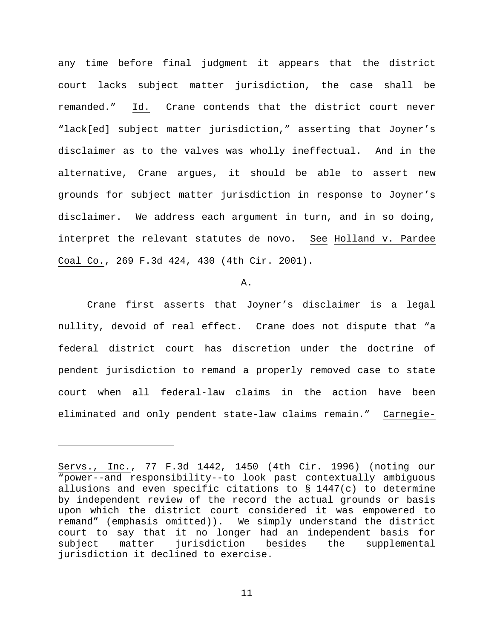any time before final judgment it appears that the district court lacks subject matter jurisdiction, the case shall be remanded." Id. Crane contends that the district court never "lack[ed] subject matter jurisdiction," asserting that Joyner's disclaimer as to the valves was wholly ineffectual. And in the alternative, Crane argues, it should be able to assert new grounds for subject matter jurisdiction in response to Joyner's disclaimer. We address each argument in turn, and in so doing, interpret the relevant statutes de novo. See Holland v. Pardee Coal Co., 269 F.3d 424, 430 (4th Cir. 2001).

#### A.

Crane first asserts that Joyner's disclaimer is a legal nullity, devoid of real effect. Crane does not dispute that "a federal district court has discretion under the doctrine of pendent jurisdiction to remand a properly removed case to state court when all federal-law claims in the action have been eliminated and only pendent state-law claims remain." Carnegie-

ī

Servs., Inc., 77 F.3d 1442, 1450 (4th Cir. 1996) (noting our "power--and responsibility--to look past contextually ambiguous allusions and even specific citations to § 1447(c) to determine by independent review of the record the actual grounds or basis upon which the district court considered it was empowered to remand" (emphasis omitted)). We simply understand the district court to say that it no longer had an independent basis for<br>subject matter jurisdiction besides the supplemental subject matter jurisdiction besides the supplemental jurisdiction it declined to exercise.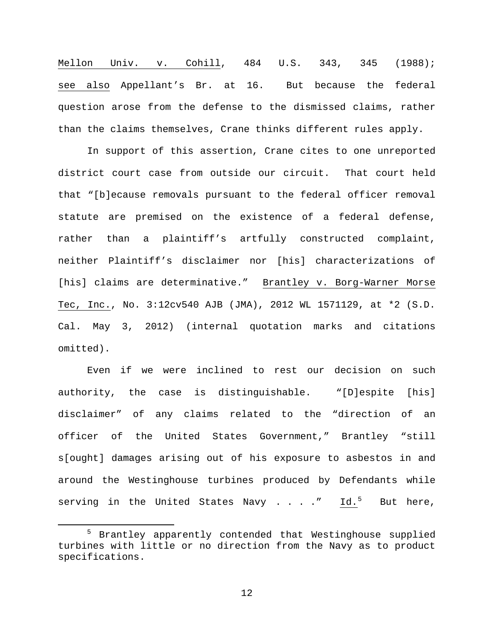Mellon Univ. v. Cohill, 484 U.S. 343, 345 (1988); see also Appellant's Br. at 16. But because the federal question arose from the defense to the dismissed claims, rather than the claims themselves, Crane thinks different rules apply.

In support of this assertion, Crane cites to one unreported district court case from outside our circuit. That court held that "[b]ecause removals pursuant to the federal officer removal statute are premised on the existence of a federal defense, rather than a plaintiff's artfully constructed complaint, neither Plaintiff's disclaimer nor [his] characterizations of [his] claims are determinative." Brantley v. Borg-Warner Morse Tec, Inc., No. 3:12cv540 AJB (JMA), 2012 WL 1571129, at \*2 (S.D. Cal. May 3, 2012) (internal quotation marks and citations omitted).

Even if we were inclined to rest our decision on such authority, the case is distinguishable. "[D]espite [his] disclaimer" of any claims related to the "direction of an officer of the United States Government," Brantley "still s[ought] damages arising out of his exposure to asbestos in and around the Westinghouse turbines produced by Defendants while serving in the United States Navy  $\ldots$  ." Id.<sup>[5](#page-11-0)</sup> But here,

<span id="page-11-0"></span> <sup>5</sup> Brantley apparently contended that Westinghouse supplied turbines with little or no direction from the Navy as to product specifications.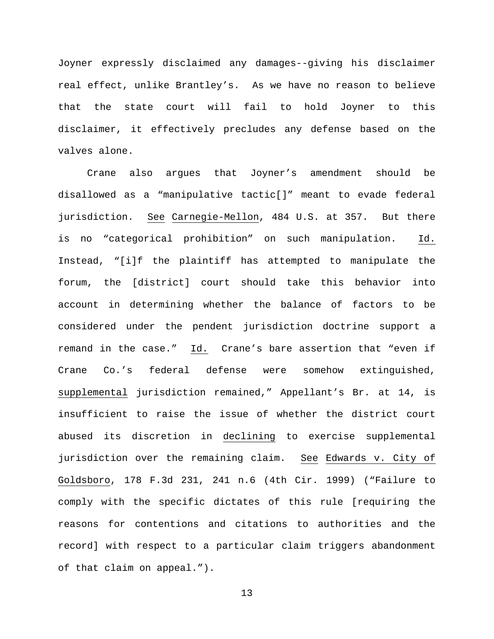Joyner expressly disclaimed any damages--giving his disclaimer real effect, unlike Brantley's. As we have no reason to believe that the state court will fail to hold Joyner to this disclaimer, it effectively precludes any defense based on the valves alone.

Crane also argues that Joyner's amendment should be disallowed as a "manipulative tactic[]" meant to evade federal jurisdiction. See Carnegie-Mellon, 484 U.S. at 357. But there is no "categorical prohibition" on such manipulation. Id. Instead, "[i]f the plaintiff has attempted to manipulate the forum, the [district] court should take this behavior into account in determining whether the balance of factors to be considered under the pendent jurisdiction doctrine support a remand in the case." Id. Crane's bare assertion that "even if Crane Co.'s federal defense were somehow extinguished, supplemental jurisdiction remained," Appellant's Br. at 14, is insufficient to raise the issue of whether the district court abused its discretion in declining to exercise supplemental jurisdiction over the remaining claim. See Edwards v. City of Goldsboro, 178 F.3d 231, 241 n.6 (4th Cir. 1999) ("Failure to comply with the specific dictates of this rule [requiring the reasons for contentions and citations to authorities and the record] with respect to a particular claim triggers abandonment of that claim on appeal.").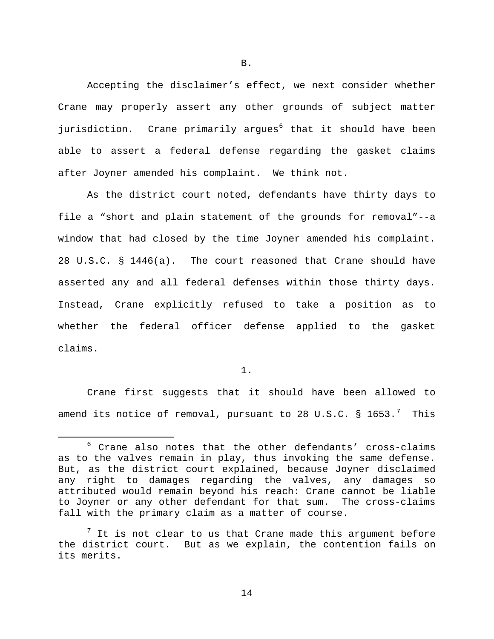Accepting the disclaimer's effect, we next consider whether Crane may properly assert any other grounds of subject matter jurisdiction. Crane primarily argues<sup>[6](#page-13-0)</sup> that it should have been able to assert a federal defense regarding the gasket claims after Joyner amended his complaint. We think not.

As the district court noted, defendants have thirty days to file a "short and plain statement of the grounds for removal"--a window that had closed by the time Joyner amended his complaint. 28 U.S.C. § 1446(a). The court reasoned that Crane should have asserted any and all federal defenses within those thirty days. Instead, Crane explicitly refused to take a position as to whether the federal officer defense applied to the gasket claims.

1.

Crane first suggests that it should have been allowed to amend its notice of removal, pursuant to 28 U.S.C.  $\S$  1653. $^7$  $^7$  This

B.

<span id="page-13-0"></span> $6$  Crane also notes that the other defendants' cross-claims as to the valves remain in play, thus invoking the same defense. But, as the district court explained, because Joyner disclaimed any right to damages regarding the valves, any damages so attributed would remain beyond his reach: Crane cannot be liable to Joyner or any other defendant for that sum. fall with the primary claim as a matter of course.

<span id="page-13-1"></span> $7$  It is not clear to us that Crane made this argument before the district court. But as we explain, the contention fails on its merits.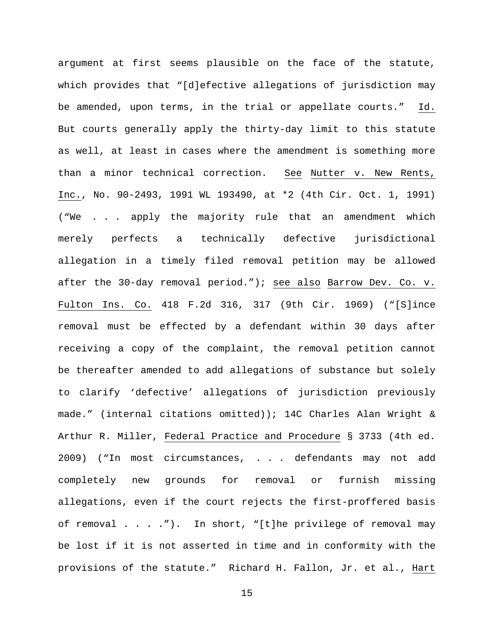argument at first seems plausible on the face of the statute, which provides that "[d]efective allegations of jurisdiction may be amended, upon terms, in the trial or appellate courts." Id. But courts generally apply the thirty-day limit to this statute as well, at least in cases where the amendment is something more than a minor technical correction. See Nutter v. New Rents, Inc., No. 90-2493, 1991 WL 193490, at \*2 (4th Cir. Oct. 1, 1991) ("We . . . apply the majority rule that an amendment which merely perfects a technically defective jurisdictional allegation in a timely filed removal petition may be allowed after the 30-day removal period."); see also Barrow Dev. Co. v. Fulton Ins. Co. 418 F.2d 316, 317 (9th Cir. 1969) ("[S]ince removal must be effected by a defendant within 30 days after receiving a copy of the complaint, the removal petition cannot be thereafter amended to add allegations of substance but solely to clarify 'defective' allegations of jurisdiction previously made." (internal citations omitted)); 14C Charles Alan Wright & Arthur R. Miller, Federal Practice and Procedure § 3733 (4th ed. 2009) ("In most circumstances, . . . defendants may not add completely new grounds for removal or furnish missing allegations, even if the court rejects the first-proffered basis of removal . . . ."). In short, "[t]he privilege of removal may be lost if it is not asserted in time and in conformity with the provisions of the statute." Richard H. Fallon, Jr. et al., Hart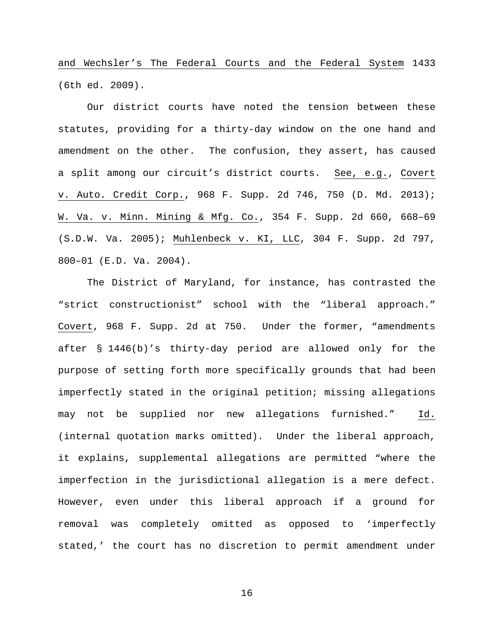and Wechsler's The Federal Courts and the Federal System 1433 (6th ed. 2009).

Our district courts have noted the tension between these statutes, providing for a thirty-day window on the one hand and amendment on the other. The confusion, they assert, has caused a split among our circuit's district courts. See, e.g., Covert v. Auto. Credit Corp., 968 F. Supp. 2d 746, 750 (D. Md. 2013); W. Va. v. Minn. Mining & Mfg. Co., 354 F. Supp. 2d 660, 668–69 (S.D.W. Va. 2005); Muhlenbeck v. KI, LLC, 304 F. Supp. 2d 797, 800–01 (E.D. Va. 2004).

The District of Maryland, for instance, has contrasted the "strict constructionist" school with the "liberal approach." Covert, 968 F. Supp. 2d at 750. Under the former, "amendments after § 1446(b)'s thirty-day period are allowed only for the purpose of setting forth more specifically grounds that had been imperfectly stated in the original petition; missing allegations may not be supplied nor new allegations furnished." Id. (internal quotation marks omitted). Under the liberal approach, it explains, supplemental allegations are permitted "where the imperfection in the jurisdictional allegation is a mere defect. However, even under this liberal approach if a ground for removal was completely omitted as opposed to 'imperfectly stated,' the court has no discretion to permit amendment under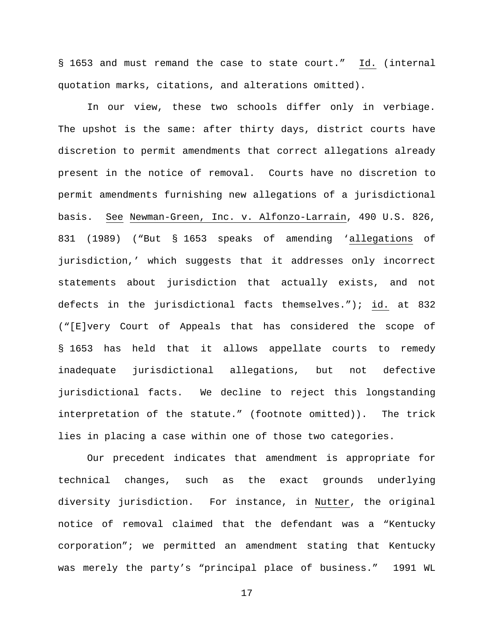§ 1653 and must remand the case to state court." Id. (internal quotation marks, citations, and alterations omitted).

In our view, these two schools differ only in verbiage. The upshot is the same: after thirty days, district courts have discretion to permit amendments that correct allegations already present in the notice of removal. Courts have no discretion to permit amendments furnishing new allegations of a jurisdictional basis. See Newman-Green, Inc. v. Alfonzo-Larrain, 490 U.S. 826, 831 (1989) ("But § 1653 speaks of amending 'allegations of jurisdiction,' which suggests that it addresses only incorrect statements about jurisdiction that actually exists, and not defects in the jurisdictional facts themselves."); id. at 832 ("[E]very Court of Appeals that has considered the scope of § 1653 has held that it allows appellate courts to remedy inadequate jurisdictional allegations, but not defective jurisdictional facts. We decline to reject this longstanding interpretation of the statute." (footnote omitted)). The trick lies in placing a case within one of those two categories.

Our precedent indicates that amendment is appropriate for technical changes, such as the exact grounds underlying diversity jurisdiction. For instance, in Nutter, the original notice of removal claimed that the defendant was a "Kentucky corporation"; we permitted an amendment stating that Kentucky was merely the party's "principal place of business." 1991 WL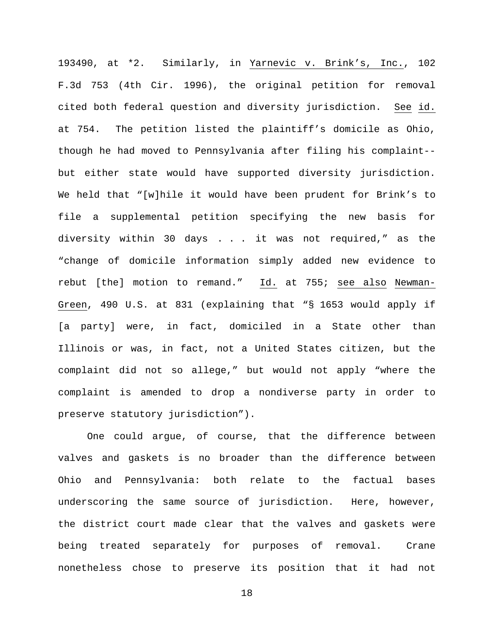193490, at \*2. Similarly, in Yarnevic v. Brink's, Inc., 102 F.3d 753 (4th Cir. 1996), the original petition for removal cited both federal question and diversity jurisdiction. See id. at 754. The petition listed the plaintiff's domicile as Ohio, though he had moved to Pennsylvania after filing his complaint- but either state would have supported diversity jurisdiction. We held that "[w]hile it would have been prudent for Brink's to file a supplemental petition specifying the new basis for diversity within 30 days . . . it was not required," as the "change of domicile information simply added new evidence to rebut [the] motion to remand." Id. at 755; see also Newman-Green, 490 U.S. at 831 (explaining that "§ 1653 would apply if [a party] were, in fact, domiciled in a State other than Illinois or was, in fact, not a United States citizen, but the complaint did not so allege," but would not apply "where the complaint is amended to drop a nondiverse party in order to preserve statutory jurisdiction").

One could argue, of course, that the difference between valves and gaskets is no broader than the difference between Ohio and Pennsylvania: both relate to the factual bases underscoring the same source of jurisdiction. Here, however, the district court made clear that the valves and gaskets were being treated separately for purposes of removal. Crane nonetheless chose to preserve its position that it had not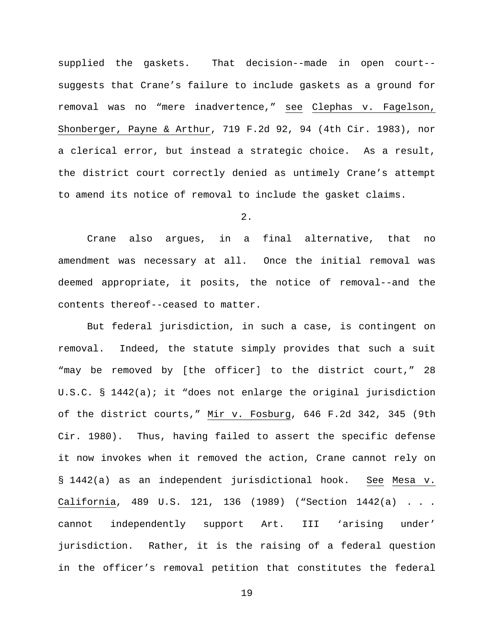supplied the gaskets. That decision--made in open court- suggests that Crane's failure to include gaskets as a ground for removal was no "mere inadvertence," see Clephas v. Fagelson, Shonberger, Payne & Arthur, 719 F.2d 92, 94 (4th Cir. 1983), nor a clerical error, but instead a strategic choice. As a result, the district court correctly denied as untimely Crane's attempt to amend its notice of removal to include the gasket claims.

2.

Crane also argues, in a final alternative, that no amendment was necessary at all. Once the initial removal was deemed appropriate, it posits, the notice of removal--and the contents thereof--ceased to matter.

But federal jurisdiction, in such a case, is contingent on removal. Indeed, the statute simply provides that such a suit "may be removed by [the officer] to the district court," 28 U.S.C. § 1442(a); it "does not enlarge the original jurisdiction of the district courts," Mir v. Fosburg, 646 F.2d 342, 345 (9th Cir. 1980). Thus, having failed to assert the specific defense it now invokes when it removed the action, Crane cannot rely on § 1442(a) as an independent jurisdictional hook. See Mesa v. California, 489 U.S. 121, 136 (1989) ("Section 1442(a) . . . cannot independently support Art. III 'arising under' jurisdiction. Rather, it is the raising of a federal question in the officer's removal petition that constitutes the federal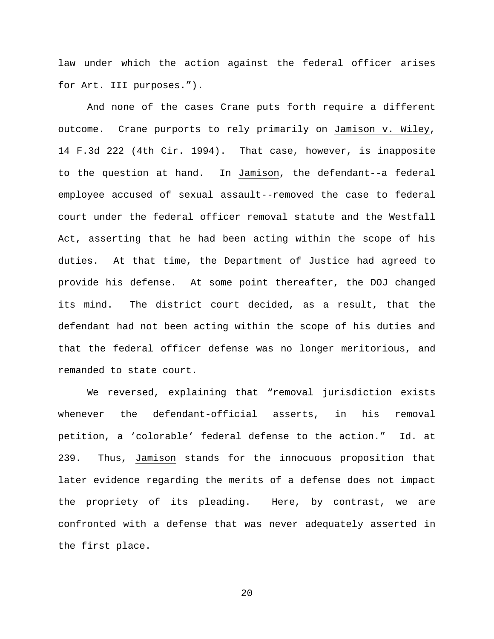law under which the action against the federal officer arises for Art. III purposes.").

And none of the cases Crane puts forth require a different outcome. Crane purports to rely primarily on Jamison v. Wiley, 14 F.3d 222 (4th Cir. 1994). That case, however, is inapposite to the question at hand. In Jamison, the defendant--a federal employee accused of sexual assault--removed the case to federal court under the federal officer removal statute and the Westfall Act, asserting that he had been acting within the scope of his duties. At that time, the Department of Justice had agreed to provide his defense. At some point thereafter, the DOJ changed its mind. The district court decided, as a result, that the defendant had not been acting within the scope of his duties and that the federal officer defense was no longer meritorious, and remanded to state court.

We reversed, explaining that "removal jurisdiction exists whenever the defendant-official asserts, in his removal petition, a 'colorable' federal defense to the action." Id. at 239. Thus, Jamison stands for the innocuous proposition that later evidence regarding the merits of a defense does not impact the propriety of its pleading. Here, by contrast, we are confronted with a defense that was never adequately asserted in the first place.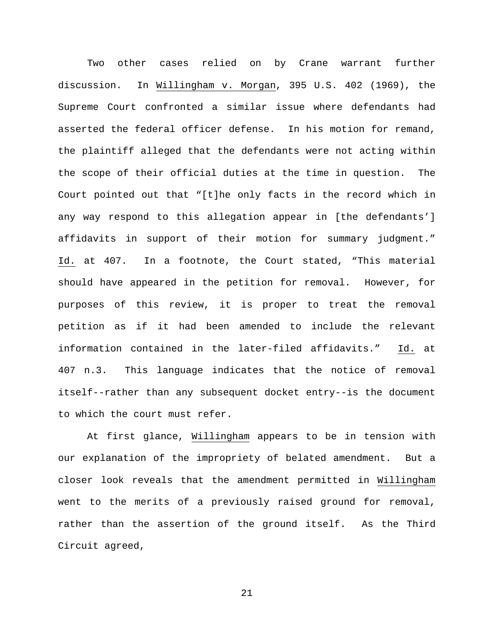Two other cases relied on by Crane warrant further discussion. In Willingham v. Morgan, 395 U.S. 402 (1969), the Supreme Court confronted a similar issue where defendants had asserted the federal officer defense. In his motion for remand, the plaintiff alleged that the defendants were not acting within the scope of their official duties at the time in question. The Court pointed out that "[t]he only facts in the record which in any way respond to this allegation appear in [the defendants'] affidavits in support of their motion for summary judgment." Id. at 407. In a footnote, the Court stated, "This material should have appeared in the petition for removal. However, for purposes of this review, it is proper to treat the removal petition as if it had been amended to include the relevant information contained in the later-filed affidavits." Id. at 407 n.3. This language indicates that the notice of removal itself--rather than any subsequent docket entry--is the document to which the court must refer.

At first glance, Willingham appears to be in tension with our explanation of the impropriety of belated amendment. But a closer look reveals that the amendment permitted in Willingham went to the merits of a previously raised ground for removal, rather than the assertion of the ground itself. As the Third Circuit agreed,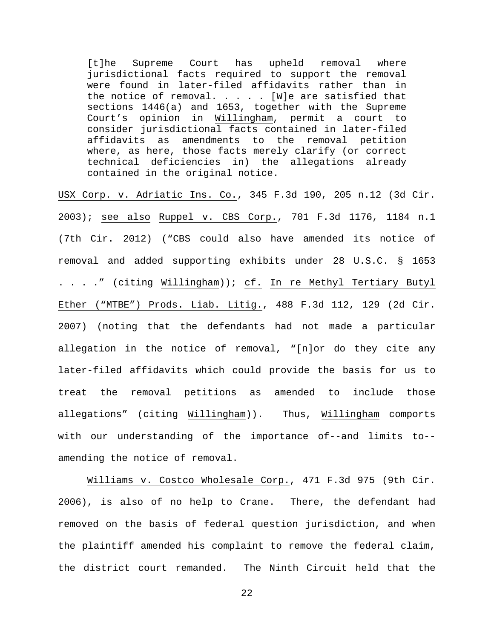[t]he Supreme Court has upheld removal where jurisdictional facts required to support the removal were found in later-filed affidavits rather than in the notice of removal.  $\ldots$  . . [W]e are satisfied that sections 1446(a) and 1653, together with the Supreme Court's opinion in Willingham, permit a court to consider jurisdictional facts contained in later-filed affidavits as amendments to the removal petition where, as here, those facts merely clarify (or correct technical deficiencies in) the allegations already contained in the original notice.

USX Corp. v. Adriatic Ins. Co., 345 F.3d 190, 205 n.12 (3d Cir. 2003); see also Ruppel v. CBS Corp., 701 F.3d 1176, 1184 n.1 (7th Cir. 2012) ("CBS could also have amended its notice of removal and added supporting exhibits under 28 U.S.C. § 1653 . . . ." (citing Willingham)); cf. In re Methyl Tertiary Butyl Ether ("MTBE") Prods. Liab. Litig., 488 F.3d 112, 129 (2d Cir. 2007) (noting that the defendants had not made a particular allegation in the notice of removal, "[n]or do they cite any later-filed affidavits which could provide the basis for us to treat the removal petitions as amended to include those allegations" (citing Willingham)). Thus, Willingham comports with our understanding of the importance of--and limits to- amending the notice of removal.

Williams v. Costco Wholesale Corp., 471 F.3d 975 (9th Cir. 2006), is also of no help to Crane. There, the defendant had removed on the basis of federal question jurisdiction, and when the plaintiff amended his complaint to remove the federal claim, the district court remanded. The Ninth Circuit held that the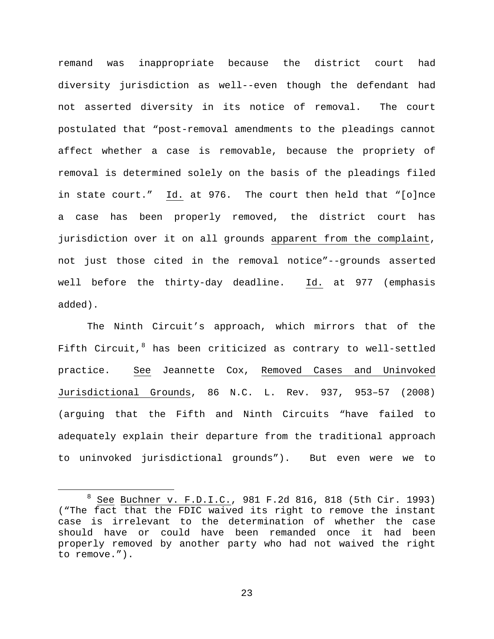remand was inappropriate because the district court had diversity jurisdiction as well--even though the defendant had not asserted diversity in its notice of removal. The court postulated that "post-removal amendments to the pleadings cannot affect whether a case is removable, because the propriety of removal is determined solely on the basis of the pleadings filed in state court." Id. at 976. The court then held that "[o]nce a case has been properly removed, the district court has jurisdiction over it on all grounds apparent from the complaint, not just those cited in the removal notice"--grounds asserted well before the thirty-day deadline. Id. at 977 (emphasis added).

The Ninth Circuit's approach, which mirrors that of the Fifth Circuit, $8$  has been criticized as contrary to well-settled practice. See Jeannette Cox, Removed Cases and Uninvoked Jurisdictional Grounds, 86 N.C. L. Rev. 937, 953–57 (2008) (arguing that the Fifth and Ninth Circuits "have failed to adequately explain their departure from the traditional approach to uninvoked jurisdictional grounds"). But even were we to

<span id="page-22-0"></span> <sup>8</sup> See Buchner v. F.D.I.C., 981 F.2d 816, 818 (5th Cir. 1993) ("The fact that the FDIC waived its right to remove the instant case is irrelevant to the determination of whether the case should have or could have been remanded once it had been properly removed by another party who had not waived the right to remove.").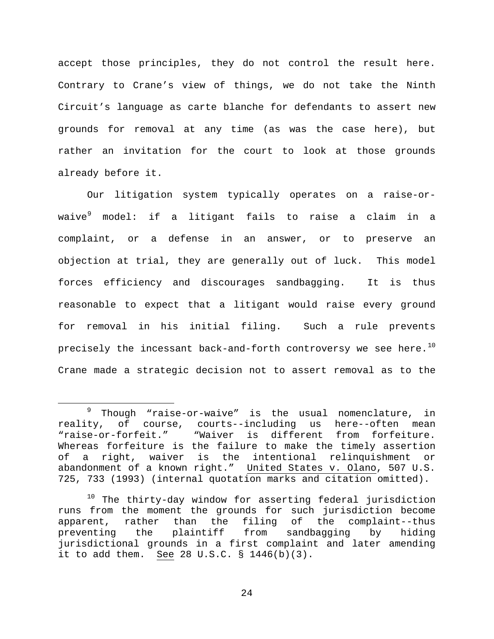accept those principles, they do not control the result here. Contrary to Crane's view of things, we do not take the Ninth Circuit's language as carte blanche for defendants to assert new grounds for removal at any time (as was the case here), but rather an invitation for the court to look at those grounds already before it.

Our litigation system typically operates on a raise-or-waive<sup>[9](#page-23-0)</sup> model: if a litigant fails to raise a claim in a complaint, or a defense in an answer, or to preserve an objection at trial, they are generally out of luck. This model forces efficiency and discourages sandbagging. It is thus reasonable to expect that a litigant would raise every ground for removal in his initial filing. Such a rule prevents precisely the incessant back-and-forth controversy we see here. $^{10}$  $^{10}$  $^{10}$ Crane made a strategic decision not to assert removal as to the

<span id="page-23-0"></span> <sup>9</sup> Though "raise-or-waive" is the usual nomenclature, in reality, of course, courts--including us here--often mean<br>"raise-or-forfeit." "Waiver is different from forfeiture. "Waiver is different from forfeiture. Whereas forfeiture is the failure to make the timely assertion<br>of a right, waiver is the intentional relinguishment or a right, waiver is the intentional relinquishment or abandonment of a known right." United States v. Olano, 507 U.S. 725, 733 (1993) (internal quotation marks and citation omitted).

<span id="page-23-1"></span> $10$  The thirty-day window for asserting federal jurisdiction runs from the moment the grounds for such jurisdiction become<br>apparent, rather than the filing of the complaint--thus apparent, rather than the filing of the complaint--thus<br>preventing the plaintiff from sandbagging by hiding plaintiff from jurisdictional grounds in a first complaint and later amending it to add them. See 28 U.S.C. § 1446(b)(3).